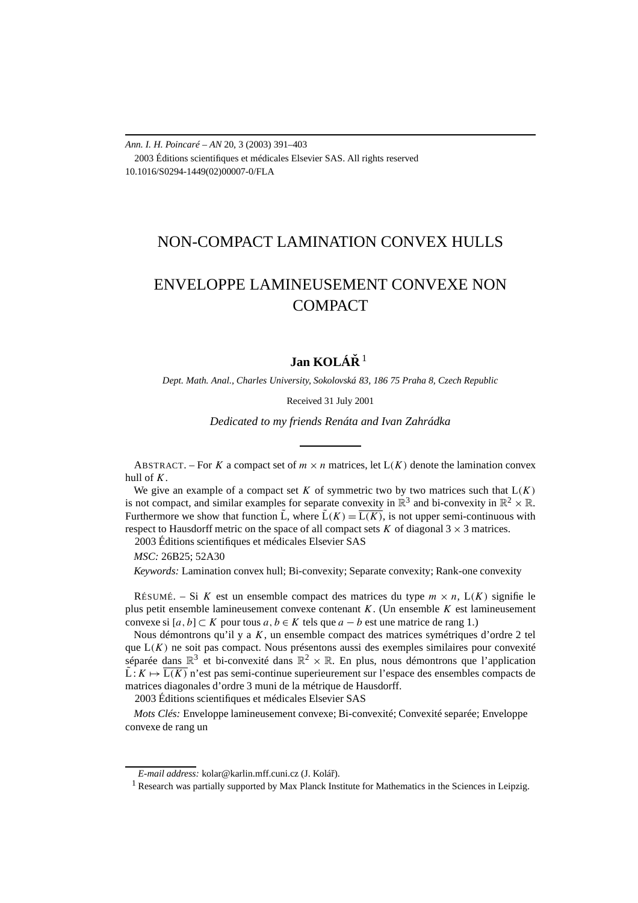*Ann. I. H. Poincaré – AN* 20, 3 (2003) 391–403 2003 Éditions scientifiques et médicales Elsevier SAS. All rights reserved 10.1016/S0294-1449(02)00007-0/FLA

# NON-COMPACT LAMINATION CONVEX HULLS

# ENVELOPPE LAMINEUSEMENT CONVEXE NON COMPACT

## **Jan KOLÁRˇ** <sup>1</sup>

*Dept. Math. Anal., Charles University, Sokolovská 83, 186 75 Praha 8, Czech Republic*

Received 31 July 2001

*Dedicated to my friends Renáta and Ivan Zahrádka*

ABSTRACT. – For *K* a compact set of  $m \times n$  matrices, let  $L(K)$  denote the lamination convex hull of *K*.

We give an example of a compact set  $K$  of symmetric two by two matrices such that  $L(K)$ is not compact, and similar examples for separate convexity in  $\mathbb{R}^3$  and bi-convexity in  $\mathbb{R}^2 \times \mathbb{R}$ . Furthermore we show that function  $\tilde{L}$ , where  $\tilde{L}(K) = \overline{L(K)}$ , is not upper semi-continuous with respect to Hausdorff metric on the space of all compact sets  $K$  of diagonal  $3 \times 3$  matrices. 2003 Éditions scientifiques et médicales Elsevier SAS

*MSC:* 26B25; 52A30

*Keywords:* Lamination convex hull; Bi-convexity; Separate convexity; Rank-one convexity

RÉSUMÉ. – Si *K* est un ensemble compact des matrices du type  $m \times n$ ,  $L(K)$  signifie le plus petit ensemble lamineusement convexe contenant *K*. (Un ensemble *K* est lamineusement convexe si  $[a, b]$  ⊂ *K* pour tous  $a, b \in K$  tels que  $a - b$  est une matrice de rang 1.)

Nous démontrons qu'il y a *K*, un ensemble compact des matrices symétriques d'ordre 2 tel que L*(K)* ne soit pas compact. Nous présentons aussi des exemples similaires pour convexité séparée dans  $\mathbb{R}^3$  et bi-convexité dans  $\mathbb{R}^2 \times \mathbb{R}$ . En plus, nous démontrons que l'application  $\tilde{L}: K \mapsto \overline{L(K)}$  n'est pas semi-continue superieurement sur l'espace des ensembles compacts de matrices diagonales d'ordre 3 muni de la métrique de Hausdorff.

2003 Éditions scientifiques et médicales Elsevier SAS

*Mots Clés:* Enveloppe lamineusement convexe; Bi-convexité; Convexité separée; Enveloppe convexe de rang un

*E-mail address:* kolar@karlin.mff.cuni.cz (J. Koláˇr).

<sup>&</sup>lt;sup>1</sup> Research was partially supported by Max Planck Institute for Mathematics in the Sciences in Leipzig.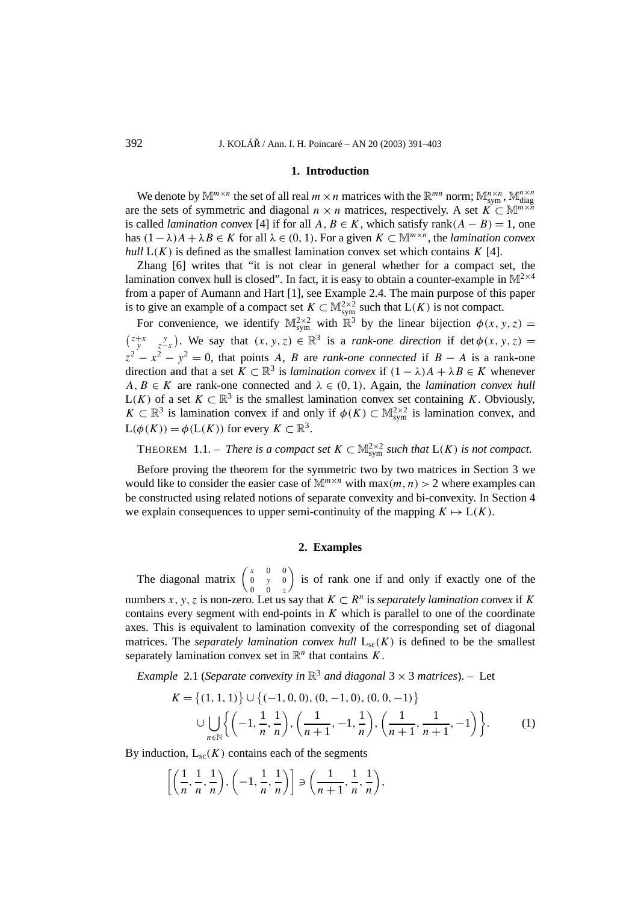#### **1. Introduction**

We denote by  $\mathbb{M}^{m \times n}$  the set of all real  $m \times n$  matrices with the  $\mathbb{R}^{mn}$  norm;  $\mathbb{M}^{n \times n}_{sym}$ ,  $\mathbb{M}^{n \times n}_{diag}$ are the sets of symmetric and diagonal  $n \times n$  matrices, respectively. A set  $K \subset \mathbb{M}^{m \times n}$ is called *lamination convex* [4] if for all  $A, B \in K$ , which satisfy rank $(A - B) = 1$ , one has  $(1 - \lambda)A + \lambda B \in K$  for all  $\lambda \in (0, 1)$ . For a given  $K \subset \mathbb{M}^{m \times n}$ , the *lamination convex hull*  $L(K)$  is defined as the smallest lamination convex set which contains  $K$  [4].

Zhang [6] writes that "it is not clear in general whether for a compact set, the lamination convex hull is closed". In fact, it is easy to obtain a counter-example in  $\mathbb{M}^{2\times4}$ from a paper of Aumann and Hart [1], see Example 2.4. The main purpose of this paper is to give an example of a compact set  $K \subset M^{2\times 2}_{sym}$  such that  $L(K)$  is not compact.

For convenience, we identify  $\mathbb{M}^{2\times 2}_{sym}$  with  $\mathbb{R}^3$  by the linear bijection  $\phi(x, y, z) =$  $\begin{pmatrix} z+x & y \ y & z-x \end{pmatrix}$ . We say that  $(x, y, z) \in \mathbb{R}^3$  is a *rank-one direction* if det  $\phi(x, y, z) =$  $z^{2} - x^{2} - y^{2} = 0$ , that points *A*, *B* are *rank-one connected* if *B* − *A* is a rank-one direction and that a set  $K \subset \mathbb{R}^3$  is *lamination convex* if  $(1 - \lambda)A + \lambda B \in K$  whenever  $A, B \in K$  are rank-one connected and  $\lambda \in (0, 1)$ . Again, the *lamination convex hull* L(*K*) of a set *K* ⊂  $\mathbb{R}^3$  is the smallest lamination convex set containing *K*. Obviously, *K* ⊂  $\mathbb{R}^3$  is lamination convex if and only if  $\phi(K)$  ⊂  $\mathbb{M}^{2\times 2}_{sym}$  is lamination convex, and  $L(\phi(K)) = \phi(L(K))$  for every  $K \subset \mathbb{R}^3$ .

THEOREM 1.1. – *There is a compact set*  $K \subset M^{2\times 2}_{sym}$  *such that*  $L(K)$  *is not compact.* 

Before proving the theorem for the symmetric two by two matrices in Section 3 we would like to consider the easier case of  $\mathbb{M}^{m \times n}$  with max $(m, n) > 2$  where examples can be constructed using related notions of separate convexity and bi-convexity. In Section 4 we explain consequences to upper semi-continuity of the mapping  $K \mapsto L(K)$ .

## **2. Examples**

The diagonal matrix  $\begin{pmatrix} x & 0 & 0 \\ 0 & y & 0 \end{pmatrix}$ 0 0 *z* is of rank one if and only if exactly one of the numbers *x*, y, *z* is non-zero. Let us say that  $K \subset \mathbb{R}^n$  is *separately lamination convex* if *K* contains every segment with end-points in *K* which is parallel to one of the coordinate axes. This is equivalent to lamination convexity of the corresponding set of diagonal matrices. The *separately lamination convex hull*  $L_{sc}(K)$  is defined to be the smallest separately lamination convex set in  $\mathbb{R}^n$  that contains *K*.

*Example* 2.1 (*Separate convexity in*  $\mathbb{R}^3$  *and diagonal* 3  $\times$  3 *matrices*). – Let

$$
K = \{(1, 1, 1)\} \cup \{(-1, 0, 0), (0, -1, 0), (0, 0, -1)\}\
$$

$$
\cup \bigcup_{n \in \mathbb{N}} \left\{ \left(-1, \frac{1}{n}, \frac{1}{n}\right), \left(\frac{1}{n+1}, -1, \frac{1}{n}\right), \left(\frac{1}{n+1}, \frac{1}{n+1}, -1\right) \right\}.
$$
 (1)

By induction,  $L_{\rm sc}(K)$  contains each of the segments

$$
\left[\left(\frac{1}{n},\frac{1}{n},\frac{1}{n}\right),\left(-1,\frac{1}{n},\frac{1}{n}\right)\right]\ni\left(\frac{1}{n+1},\frac{1}{n},\frac{1}{n}\right),\right]
$$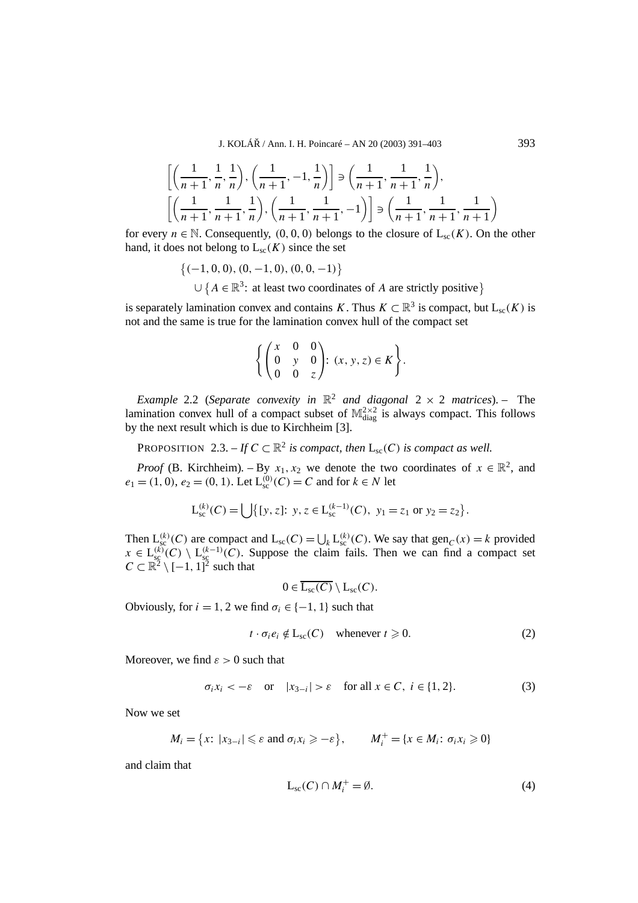J. KOLÁŘ / Ann. I. H. Poincaré – AN 20 (2003) 391–403  $393$ 

$$
\left[ \left( \frac{1}{n+1}, \frac{1}{n}, \frac{1}{n} \right), \left( \frac{1}{n+1}, -1, \frac{1}{n} \right) \right] \ni \left( \frac{1}{n+1}, \frac{1}{n+1}, \frac{1}{n} \right),
$$
\n
$$
\left[ \left( \frac{1}{n+1}, \frac{1}{n+1}, \frac{1}{n} \right), \left( \frac{1}{n+1}, \frac{1}{n+1}, -1 \right) \right] \ni \left( \frac{1}{n+1}, \frac{1}{n+1}, \frac{1}{n+1} \right)
$$
\n
$$
\sum_{n=0}^{\infty} \left[ \left( \frac{1}{n+1}, \frac{1}{n+1}, \frac{1}{n+1}, \frac{1}{n+1} \right) \right] \ni \left( \frac{1}{n+1}, \frac{1}{n+1}, \frac{1}{n+1} \right)
$$

for every  $n \in \mathbb{N}$ . Consequently,  $(0, 0, 0)$  belongs to the closure of  $L_{sc}(K)$ . On the other hand, it does not belong to  $L_{\rm sc}(K)$  since the set

$$
\{(-1, 0, 0), (0, -1, 0), (0, 0, -1)\}
$$
  

$$
\cup \{A \in \mathbb{R}^3 : \text{ at least two coordinates of } A \text{ are strictly positive}\}
$$

is separately lamination convex and contains *K*. Thus  $K \subset \mathbb{R}^3$  is compact, but  $L_{sc}(K)$  is not and the same is true for the lamination convex hull of the compact set

$$
\left\{ \begin{pmatrix} x & 0 & 0 \\ 0 & y & 0 \\ 0 & 0 & z \end{pmatrix}: (x, y, z) \in K \right\}.
$$

*Example* 2.2 (*Separate convexity in*  $\mathbb{R}^2$  *and diagonal* 2  $\times$  2 *matrices*). – The lamination convex hull of a compact subset of  $\mathbb{M}^{2\times 2}_{\text{diag}}$  is always compact. This follows by the next result which is due to Kirchheim [3].

PROPOSITION 2.3. – *If*  $C \subset \mathbb{R}^2$  *is compact, then*  $L_{\text{sc}}(C)$  *is compact as well.* 

*Proof* (B. Kirchheim). – By  $x_1, x_2$  we denote the two coordinates of  $x \in \mathbb{R}^2$ , and  $e_1 = (1, 0), e_2 = (0, 1)$ . Let  $L_{\text{sc}}^{(0)}(C) = C$  and for  $k \in N$  let

$$
L_{\rm sc}^{(k)}(C) = \bigcup \{ [y, z] : y, z \in L_{\rm sc}^{(k-1)}(C), y_1 = z_1 \text{ or } y_2 = z_2 \}.
$$

Then  $L_{\text{sc}}^{(k)}(C)$  are compact and  $L_{\text{sc}}(C) = \bigcup_{k} L_{\text{sc}}^{(k)}(C)$ . We say that  $\text{gen}_{C}(x) = k$  provided  $x \in L_{\text{sg}}^{(k)}(C) \setminus L_{\text{sg}}^{(k-1)}(C)$ . Suppose the claim fails. Then we can find a compact set  $C \subset \mathbb{R}^2 \setminus [-1, 1]^2$  such that

$$
0\in \overline{L_{sc}(C)}\setminus L_{sc}(C).
$$

Obviously, for  $i = 1, 2$  we find  $\sigma_i \in \{-1, 1\}$  such that

$$
t \cdot \sigma_i e_i \notin L_{\rm sc}(C) \quad \text{whenever } t \geqslant 0. \tag{2}
$$

Moreover, we find  $\varepsilon > 0$  such that

$$
\sigma_i x_i < -\varepsilon \quad \text{or} \quad |x_{3-i}| > \varepsilon \quad \text{for all } x \in C, \ i \in \{1, 2\}. \tag{3}
$$

Now we set

$$
M_i = \{x: |x_{3-i}| \leq \varepsilon \text{ and } \sigma_i x_i \geq -\varepsilon\}, \qquad M_i^+ = \{x \in M_i: \sigma_i x_i \geq 0\}
$$

and claim that

$$
L_{sc}(C) \cap M_i^+ = \emptyset. \tag{4}
$$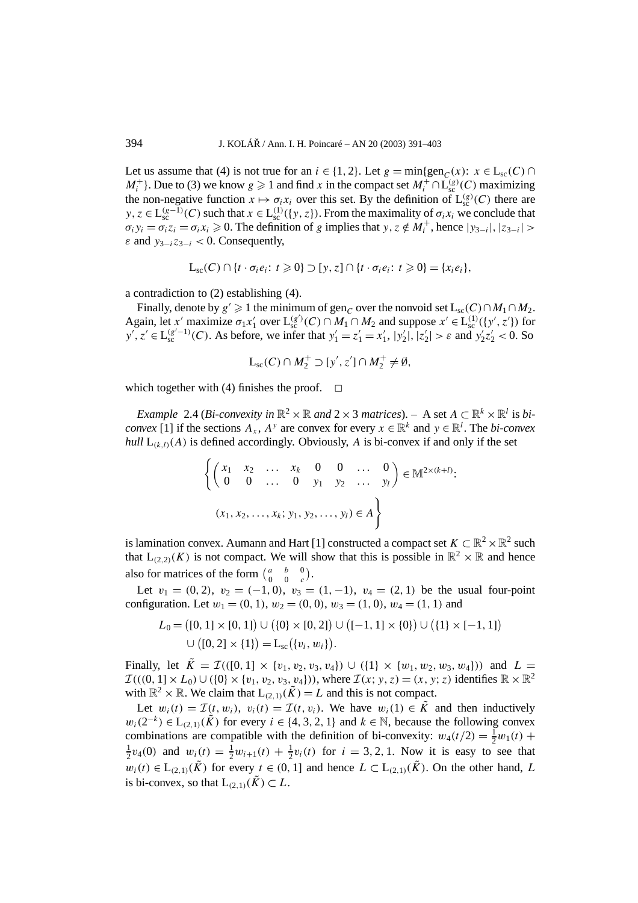Let us assume that (4) is not true for an  $i \in \{1, 2\}$ . Let  $g = \min\{ \text{gen}_C(x) : x \in L_{\text{sc}}(C) \cap L_{\text{sc}}(C) \}$ *M*<sup>+</sup><sub>*i*</sub> }. Due to (3) we know  $g \ge 1$  and find *x* in the compact set  $M_i^+ \cap L_{\text{sc}}^{(g)}(C)$  maximizing the non-negative function  $x \mapsto \sigma_i x_i$  over this set. By the definition of  $L_{\text{sc}}^{(g)}(C)$  there are  $y, z \in L_{\text{sc}}^{(g-1)}(C)$  such that  $x \in L_{\text{sc}}^{(1)}(\{y, z\})$ . From the maximality of  $\sigma_i x_i$  we conclude that  $\sigma_i y_i = \sigma_i z_i = \sigma_i x_i \ge 0$ . The definition of *g* implies that  $y, z \notin M_i^+$ , hence  $|y_{3-i}|, |z_{3-i}| >$ *ε* and  $y_{3-i}z_{3-i} < 0$ . Consequently,

$$
L_{\rm sc}(C) \cap \{t \cdot \sigma_i e_i \colon t \geq 0\} \supset [y, z] \cap \{t \cdot \sigma_i e_i \colon t \geq 0\} = \{x_i e_i\},\
$$

a contradiction to (2) establishing (4).

Finally, denote by  $g' \geq 1$  the minimum of gen<sub>*C*</sub> over the nonvoid set  $L_{sc}(C) \cap M_1 \cap M_2$ . Again, let *x'* maximize  $\sigma_1 x_1'$  over  $L_{\rm sc}^{(g')}(C) \cap M_1 \cap M_2$  and suppose  $x' \in L_{\rm sc}^{(1)}(\lbrace y', z' \rbrace)$  for  $y'$ ,  $z' \in L_{\text{sc}}^{(g'-1)}(C)$ . As before, we infer that  $y'_1 = z'_1 = x'_1$ ,  $|y'_2|$ ,  $|z'_2| > \varepsilon$  and  $y'_2z'_2 < 0$ . So

$$
L_{\rm sc}(C) \cap M_2^+ \supset [y', z'] \cap M_2^+ \neq \emptyset,
$$

which together with (4) finishes the proof.  $\Box$ 

*Example* 2.4 (*Bi-convexity in*  $\mathbb{R}^2 \times \mathbb{R}$  *and* 2 × 3 *matrices*). – A set  $A \subset \mathbb{R}^k \times \mathbb{R}^l$  is *biconvex* [1] if the sections  $A_x$ ,  $A^y$  are convex for every  $x \in \mathbb{R}^k$  and  $y \in \mathbb{R}^l$ . The *bi-convex hull*  $L_{(k,l)}(A)$  is defined accordingly. Obviously, *A* is bi-convex if and only if the set

$$
\left\{ \begin{pmatrix} x_1 & x_2 & \dots & x_k & 0 & 0 & \dots & 0 \\ 0 & 0 & \dots & 0 & y_1 & y_2 & \dots & y_l \end{pmatrix} \in \mathbb{M}^{2 \times (k+l)}:
$$
  
 $(x_1, x_2, \dots, x_k; y_1, y_2, \dots, y_l) \in A \right\}$ 

is lamination convex. Aumann and Hart [1] constructed a compact set  $K \subset \mathbb{R}^2 \times \mathbb{R}^2$  such that  $L_{(2,2)}(K)$  is not compact. We will show that this is possible in  $\mathbb{R}^2 \times \mathbb{R}$  and hence also for matrices of the form  $\begin{pmatrix} a & b & 0 \\ 0 & 0 & c \end{pmatrix}$ .

Let  $v_1 = (0, 2), v_2 = (-1, 0), v_3 = (1, -1), v_4 = (2, 1)$  be the usual four-point configuration. Let  $w_1 = (0, 1), w_2 = (0, 0), w_3 = (1, 0), w_4 = (1, 1)$  and

$$
L_0 = ([0, 1] \times [0, 1]) \cup (\{0\} \times [0, 2]) \cup ([-1, 1] \times \{0\}) \cup (\{1\} \times [-1, 1])
$$
  

$$
\cup ([0, 2] \times \{1\}) = L_{sc}(\{v_i, w_i\}).
$$

Finally, let  $\tilde{K} = \mathcal{I}((0, 1] \times \{v_1, v_2, v_3, v_4\}) \cup (\{1\} \times \{w_1, w_2, w_3, w_4\})$  and  $L =$  $\mathcal{I}((0, 1] \times L_0) \cup (\{0\} \times \{v_1, v_2, v_3, v_4\})$ , where  $\mathcal{I}(x; y, z) = (x, y; z)$  identifies  $\mathbb{R} \times \mathbb{R}^2$ with  $\mathbb{R}^2 \times \mathbb{R}$ . We claim that  $L_{(2,1)}(\tilde{K}) = L$  and this is not compact.

Let  $w_i(t) = \mathcal{I}(t, w_i)$ ,  $v_i(t) = \mathcal{I}(t, v_i)$ . We have  $w_i(1) \in \tilde{K}$  and then inductively *w<sub>i</sub>*(2<sup>−*k*</sup>) ∈ L<sub>(2,1)</sub>( $\tilde{K}$ ) for every *i* ∈ {4, 3, 2, 1} and *k* ∈ N, because the following convex combinations are compatible with the definition of bi-convexity:  $w_4(t/2) = \frac{1}{2}w_1(t) +$  $\frac{1}{2}v_4(0)$  and  $w_i(t) = \frac{1}{2}w_{i+1}(t) + \frac{1}{2}v_i(t)$  for  $i = 3, 2, 1$ . Now it is easy to see that *w<sub>i</sub>*(*t*) ∈ L<sub>(2,1)</sub>( $\tilde{K}$ ) for every *t* ∈ (0, 1] and hence *L* ⊂ L<sub>(2,1)</sub>( $\tilde{K}$ ). On the other hand, *L* is bi-convex, so that  $L_{(2,1)}(\tilde{K}) \subset L$ .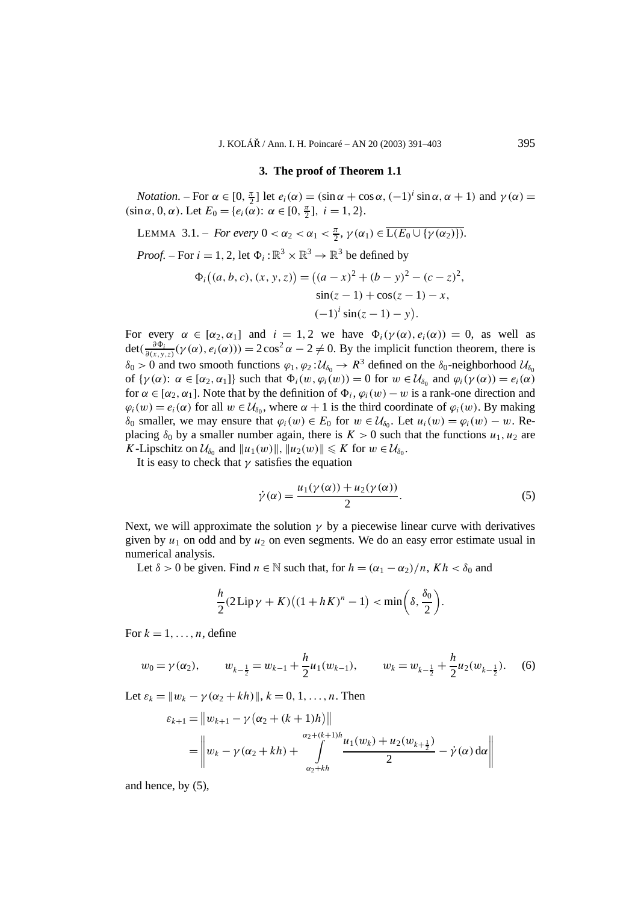#### **3. The proof of Theorem 1.1**

*Notation.* – For  $\alpha \in [0, \frac{\pi}{2}]$  let  $e_i(\alpha) = (\sin \alpha + \cos \alpha, (-1)^i \sin \alpha, \alpha + 1)$  and  $\gamma(\alpha) =$  $(\sin \alpha, 0, \alpha)$ . Let  $E_0 = \{e_i(\alpha): \alpha \in [0, \frac{\pi}{2}], i = 1, 2\}.$ 

LEMMA 3.1. – For every 
$$
0 < \alpha_2 < \alpha_1 < \frac{\pi}{2}
$$
,  $\gamma(\alpha_1) \in \overline{L(E_0 \cup \{\gamma(\alpha_2)\})}$ .

*Proof.* – For  $i = 1, 2$ , let  $\Phi_i : \mathbb{R}^3 \times \mathbb{R}^3 \to \mathbb{R}^3$  be defined by

$$
\Phi_i((a, b, c), (x, y, z)) = ((a - x)^2 + (b - y)^2 - (c - z)^2, \sin(z - 1) + \cos(z - 1) - x, \quad (-1)^i \sin(z - 1) - y).
$$

For every  $\alpha \in [\alpha_2, \alpha_1]$  and  $i = 1, 2$  we have  $\Phi_i(\gamma(\alpha), e_i(\alpha)) = 0$ , as well as  $\det(\frac{\partial \Phi_i}{\partial(x,y,z)}(\gamma(\alpha), e_i(\alpha))) = 2\cos^2\alpha - 2 \neq 0$ . By the implicit function theorem, there is  $\delta_0 > 0$  and two smooth functions  $\varphi_1, \varphi_2: U_{\delta_0} \to R^3$  defined on the  $\delta_0$ -neighborhood  $U_{\delta_0}$ of  $\{\gamma(\alpha): \alpha \in [\alpha_2, \alpha_1]\}$  such that  $\Phi_i(w, \varphi_i(w)) = 0$  for  $w \in \mathcal{U}_{\delta_0}$  and  $\varphi_i(\gamma(\alpha)) = e_i(\alpha)$ for  $\alpha \in [\alpha_2, \alpha_1]$ . Note that by the definition of  $\Phi_i$ ,  $\varphi_i(w) - w$  is a rank-one direction and  $\varphi_i(w) = e_i(\alpha)$  for all  $w \in \mathcal{U}_{\delta_0}$ , where  $\alpha + 1$  is the third coordinate of  $\varphi_i(w)$ . By making *δ*<sup>0</sup> smaller, we may ensure that *ϕ*<sub>*i*</sub>(*w*) ∈ *E*<sup>0</sup> for *w* ∈  $U$ <sup>*δ*<sub>0</sub></sub>. Let *u<sub>i</sub>*(*w*) = *ϕ*<sub>*i*</sub>(*w*) − *w*. Re-</sup> placing  $\delta_0$  by a smaller number again, there is  $K > 0$  such that the functions  $u_1, u_2$  are *K*-Lipschitz on  $\mathcal{U}_{\delta_0}$  and  $||u_1(w)||$ ,  $||u_2(w)|| \le K$  for  $w \in \mathcal{U}_{\delta_0}$ .

It is easy to check that  $\gamma$  satisfies the equation

$$
\dot{\gamma}(\alpha) = \frac{u_1(\gamma(\alpha)) + u_2(\gamma(\alpha))}{2}.\tag{5}
$$

Next, we will approximate the solution  $\gamma$  by a piecewise linear curve with derivatives given by  $u_1$  on odd and by  $u_2$  on even segments. We do an easy error estimate usual in numerical analysis.

Let  $\delta > 0$  be given. Find  $n \in \mathbb{N}$  such that, for  $h = (\alpha_1 - \alpha_2)/n$ ,  $Kh < \delta_0$  and

$$
\frac{h}{2}(2\mathrm{Lip}\,\gamma + K)((1 + hK)^n - 1) < \min\bigg(\delta, \frac{\delta_0}{2}\bigg).
$$

For  $k = 1, \ldots, n$ , define

$$
w_0 = \gamma(\alpha_2), \qquad w_{k-\frac{1}{2}} = w_{k-1} + \frac{h}{2}u_1(w_{k-1}), \qquad w_k = w_{k-\frac{1}{2}} + \frac{h}{2}u_2(w_{k-\frac{1}{2}}). \tag{6}
$$

Let  $\varepsilon_k = ||w_k - \gamma(\alpha_2 + kh)||$ ,  $k = 0, 1, \ldots, n$ . Then

$$
\varepsilon_{k+1} = \|w_{k+1} - \gamma (\alpha_2 + (k+1)h)\|
$$
  
= 
$$
\left\|w_k - \gamma (\alpha_2 + kh) + \int_{\alpha_2 + kh}^{\alpha_2 + (k+1)h} \frac{u_1(w_k) + u_2(w_{k+\frac{1}{2}})}{2} - \dot{\gamma}(\alpha) d\alpha\right\|
$$

and hence, by (5),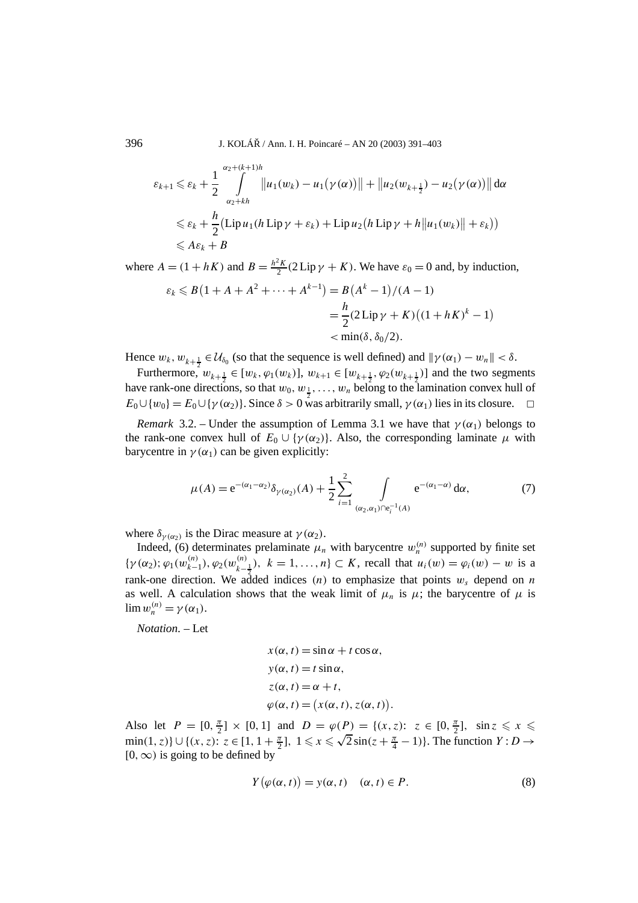$$
\varepsilon_{k+1} \leqslant \varepsilon_k + \frac{1}{2} \int_{\alpha_2 + kh}^{\alpha_2 + (k+1)h} \left\| u_1(w_k) - u_1(\gamma(\alpha)) \right\| + \left\| u_2(w_{k+\frac{1}{2}}) - u_2(\gamma(\alpha)) \right\| d\alpha
$$
\n
$$
\leqslant \varepsilon_k + \frac{h}{2} \left( \operatorname{Lip} u_1(h \operatorname{Lip} \gamma + \varepsilon_k) + \operatorname{Lip} u_2(h \operatorname{Lip} \gamma + h \| u_1(w_k) \| + \varepsilon_k) \right)
$$
\n
$$
\leqslant A\varepsilon_k + B
$$

where  $A = (1 + hK)$  and  $B = \frac{h^2 K}{2} (2 \text{Lip}\gamma + K)$ . We have  $\varepsilon_0 = 0$  and, by induction,

$$
\varepsilon_k \le B(1 + A + A^2 + \dots + A^{k-1}) = B(A^k - 1)/(A - 1)
$$
  
=  $\frac{h}{2}(2 \text{Lip}\gamma + K)((1 + hK)^k - 1)$   
<  $\min(\delta, \delta_0/2).$ 

Hence  $w_k$ ,  $w_{k+\frac{1}{2}} \in \mathcal{U}_{\delta_0}$  (so that the sequence is well defined) and  $\|\gamma(\alpha_1) - w_n\| < \delta$ .

Furthermore,  $w_{k+\frac{1}{2}} \in [w_k, \varphi_1(w_k)]$ ,  $w_{k+1} \in [w_{k+\frac{1}{2}}, \varphi_2(w_{k+\frac{1}{2}})]$  and the two segments have rank-one directions, so that  $w_0$ ,  $w_1$ , ...,  $w_n$  belong to the lamination convex hull of  $E_0 \cup \{w_0\} = E_0 \cup \{ \gamma(\alpha_2) \}$ . Since  $\delta > 0$  was arbitrarily small,  $\gamma(\alpha_1)$  lies in its closure.  $\Box$ 

*Remark* 3.2. – Under the assumption of Lemma 3.1 we have that  $\gamma(\alpha_1)$  belongs to the rank-one convex hull of  $E_0 \cup \{\gamma(\alpha_2)\}\)$ . Also, the corresponding laminate  $\mu$  with barycentre in  $\gamma(\alpha_1)$  can be given explicitly:

$$
\mu(A) = e^{-(\alpha_1 - \alpha_2)} \delta_{\gamma(\alpha_2)}(A) + \frac{1}{2} \sum_{i=1}^2 \int_{(\alpha_2, \alpha_1) \cap e_i^{-1}(A)} e^{-(\alpha_1 - \alpha)} d\alpha, \tag{7}
$$

where  $\delta_{\gamma(\alpha_2)}$  is the Dirac measure at  $\gamma(\alpha_2)$ .

Indeed, (6) determinates prelaminate  $\mu_n$  with barycentre  $w_n^{(n)}$  supported by finite set  ${\gamma(\alpha_2)}; \varphi_1(w_{k-1}^{(n)}), \varphi_2(w_{k-\frac{1}{2}}^{(n)}), k = 1, ..., n$   $\subset K$ , recall that  $u_i(w) = \varphi_i(w) - w$  is a rank-one direction. We added indices (*n*) to emphasize that points  $w_s$  depend on *n* as well. A calculation shows that the weak limit of  $\mu_n$  is  $\mu$ ; the barycentre of  $\mu$  is  $\lim w_n^{(n)} = \gamma(\alpha_1).$ 

*Notation*. – Let

$$
x(\alpha, t) = \sin \alpha + t \cos \alpha,
$$
  
\n
$$
y(\alpha, t) = t \sin \alpha,
$$
  
\n
$$
z(\alpha, t) = \alpha + t,
$$
  
\n
$$
\varphi(\alpha, t) = (x(\alpha, t), z(\alpha, t))
$$

Also let  $P = [0, \frac{\pi}{2}] \times [0, 1]$  and  $D = \varphi(P) = \{(x, z): z \in [0, \frac{\pi}{2}], \sin z \leq x \leq$  $\min(1, z)$ }∪{ $(x, z)$ :  $z \in [1, 1 + \frac{\pi}{2}]$ ,  $1 \le x \le \sqrt{2} \sin(z + \frac{\pi}{4} - 1)$ }. The function  $Y : D \to$ [0*,*∞*)* is going to be defined by

$$
Y(\varphi(\alpha, t)) = y(\alpha, t) \quad (\alpha, t) \in P.
$$
 (8)

*.*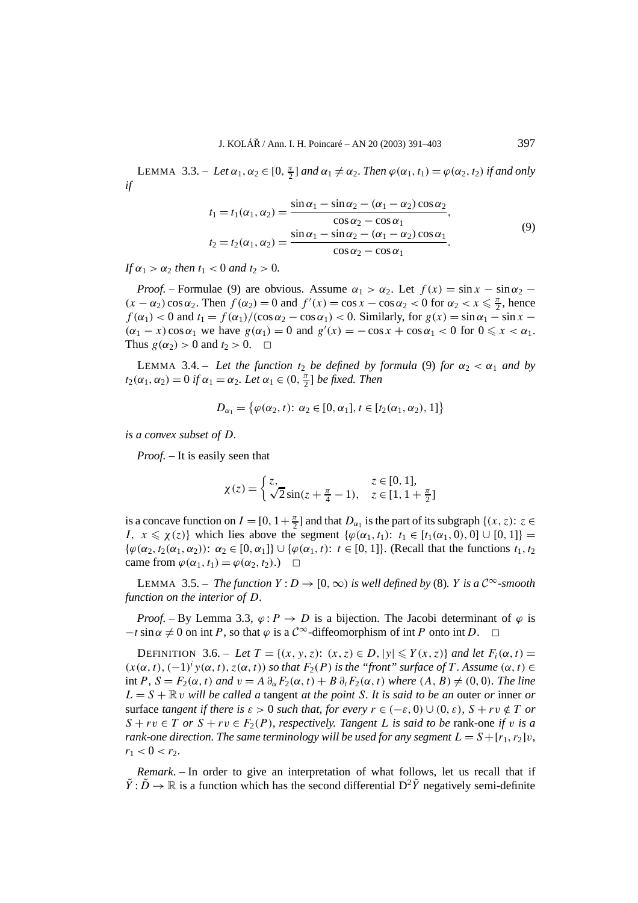LEMMA 3.3. – Let  $\alpha_1, \alpha_2 \in [0, \frac{\pi}{2}]$  and  $\alpha_1 \neq \alpha_2$ . Then  $\varphi(\alpha_1, t_1) = \varphi(\alpha_2, t_2)$  if and only *if*

$$
t_1 = t_1(\alpha_1, \alpha_2) = \frac{\sin \alpha_1 - \sin \alpha_2 - (\alpha_1 - \alpha_2) \cos \alpha_2}{\cos \alpha_2 - \cos \alpha_1},
$$
  
\n
$$
t_2 = t_2(\alpha_1, \alpha_2) = \frac{\sin \alpha_1 - \sin \alpha_2 - (\alpha_1 - \alpha_2) \cos \alpha_1}{\cos \alpha_2 - \cos \alpha_1}.
$$
\n(9)

*If*  $\alpha_1 > \alpha_2$  *then*  $t_1 < 0$  *and*  $t_2 > 0$ *.* 

*Proof.* – Formulae (9) are obvious. Assume  $\alpha_1 > \alpha_2$ . Let  $f(x) = \sin x - \sin \alpha_2$  –  $(x - \alpha_2) \cos \alpha_2$ . Then  $f(\alpha_2) = 0$  and  $f'(x) = \cos x - \cos \alpha_2 < 0$  for  $\alpha_2 < x \leq \frac{\pi}{2}$ , hence  $f(\alpha_1) < 0$  and  $t_1 = f(\alpha_1)/(\cos \alpha_2 - \cos \alpha_1) < 0$ . Similarly, for  $g(x) = \sin \alpha_1 - \sin x$  $(\alpha_1 - x) \cos \alpha_1$  we have  $g(\alpha_1) = 0$  and  $g'(x) = -\cos x + \cos \alpha_1 < 0$  for  $0 \le x < \alpha_1$ . Thus  $g(\alpha_2) > 0$  and  $t_2 > 0$ .  $\Box$ 

LEMMA 3.4. – Let the function  $t_2$  be defined by formula (9) for  $\alpha_2 < \alpha_1$  and by  $t_2(\alpha_1, \alpha_2) = 0$  *if*  $\alpha_1 = \alpha_2$ *. Let*  $\alpha_1 \in (0, \frac{\pi}{2}]$  *be fixed. Then* 

$$
D_{\alpha_1} = \{ \varphi(\alpha_2, t): \, \alpha_2 \in [0, \alpha_1], t \in [t_2(\alpha_1, \alpha_2), 1] \}
$$

*is a convex subset of D.*

*Proof. –* It is easily seen that

$$
\chi(z) = \begin{cases} z, & z \in [0, 1], \\ \sqrt{2}\sin(z + \frac{\pi}{4} - 1), & z \in [1, 1 + \frac{\pi}{2}] \end{cases}
$$

is a concave function on  $I = [0, 1 + \frac{\pi}{2}]$  and that  $D_{\alpha_1}$  is the part of its subgraph  $\{(x, z): z \in$ *I,*  $x \le \chi(z)$ } which lies above the segment  $\{\varphi(\alpha_1, t_1): t_1 \in [t_1(\alpha_1, 0), 0] \cup [0, 1]\}$  = {*ϕ(α*2*, t*2*(α*1*, α*2*))*: *α*<sup>2</sup> ∈ [0*, α*1]} ∪ {*ϕ(α*1*,t)*: *t* ∈ [0*,* 1]}. (Recall that the functions *t*1*, t*<sup>2</sup> came from  $\varphi(\alpha_1, t_1) = \varphi(\alpha_2, t_2)$ .

LEMMA 3.5. – *The function*  $Y: D \to [0, \infty)$  *is well defined by* (8)*. Y is a*  $C^{\infty}$ -smooth *function on the interior of D.*

*Proof.* – By Lemma 3.3,  $\varphi$ : *P*  $\rightarrow$  *D* is a bijection. The Jacobi determinant of  $\varphi$  is  $-t \sin \alpha \neq 0$  on int *P*, so that  $\varphi$  is a  $C^{\infty}$ -diffeomorphism of int *P* onto int *D*.  $\Box$ 

DEFINITION 3.6. – *Let*  $T = \{(x, y, z): (x, z) \in D, |y| \leq Y(x, z)\}$  *and let*  $F_i(\alpha, t) =$  $(x(\alpha, t), (-1)^i y(\alpha, t), z(\alpha, t))$  *so that*  $F_2(P)$  *is the "front" surface of T*. Assume  $(\alpha, t) \in$ int *P,*  $S = F_2(\alpha, t)$  and  $v = A \partial_\alpha F_2(\alpha, t) + B \partial_t F_2(\alpha, t)$  where  $(A, B) \neq (0, 0)$ *. The line*  $L = S + \mathbb{R} v$  *will be called a tangent at the point S. It is said to be an outer or inner or* surface *tangent if there is*  $\varepsilon > 0$  *such that, for every*  $r \in (-\varepsilon, 0) \cup (0, \varepsilon)$ ,  $S + rv \notin T$  *or*  $S + rv \in T$  *or*  $S + rv \in F_2(P)$ *, respectively. Tangent L is said to be* rank-one *if v is a rank-one direction. The same terminology will be used for any segment*  $L = S + [r_1, r_2]v$ ,  $r_1 < 0 < r_2$ .

*Remark*. – In order to give an interpretation of what follows, let us recall that if  $\tilde{Y}: \tilde{D} \to \mathbb{R}$  is a function which has the second differential  $D^2\tilde{Y}$  negatively semi-definite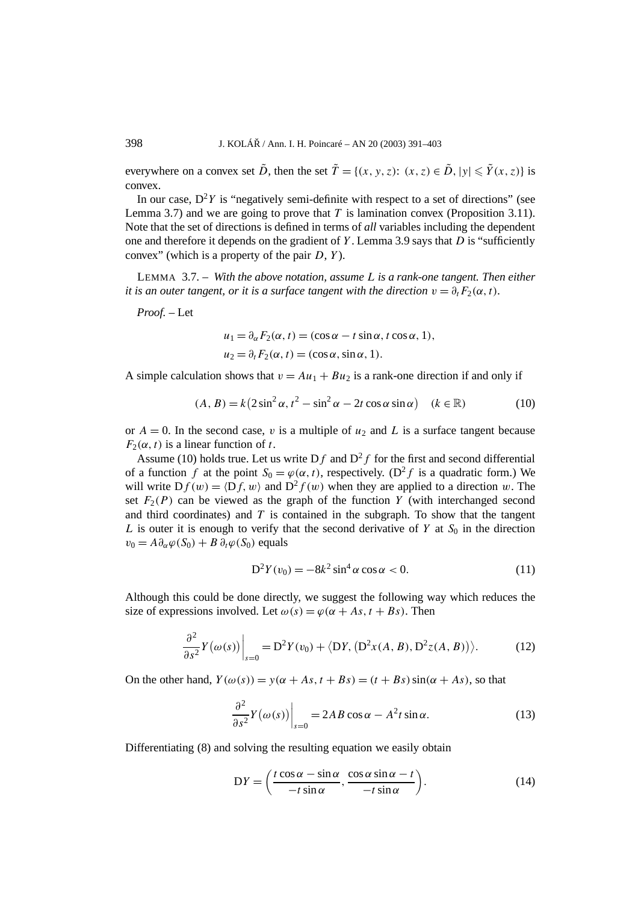everywhere on a convex set  $\tilde{D}$ , then the set  $\tilde{T} = \{(x, y, z): (x, z) \in \tilde{D}, |y| \leq \tilde{Y}(x, z)\}$  is convex.

In our case,  $D^2Y$  is "negatively semi-definite with respect to a set of directions" (see Lemma 3.7) and we are going to prove that *T* is lamination convex (Proposition 3.11). Note that the set of directions is defined in terms of *all* variables including the dependent one and therefore it depends on the gradient of *Y* . Lemma 3.9 says that *D* is "sufficiently convex" (which is a property of the pair *D*, *Y* ).

LEMMA 3.7. – *With the above notation, assume L is a rank-one tangent. Then either it is an outer tangent, or it is a surface tangent with the direction*  $v = \partial_t F_2(\alpha, t)$ *.* 

*Proof. –* Let

$$
u_1 = \partial_{\alpha} F_2(\alpha, t) = (\cos \alpha - t \sin \alpha, t \cos \alpha, 1),
$$
  
\n
$$
u_2 = \partial_t F_2(\alpha, t) = (\cos \alpha, \sin \alpha, 1).
$$

A simple calculation shows that  $v = Au_1 + Bu_2$  is a rank-one direction if and only if

$$
(A, B) = k(2\sin^2\alpha, t^2 - \sin^2\alpha - 2t\cos\alpha\sin\alpha) \quad (k \in \mathbb{R})
$$
 (10)

or  $A = 0$ . In the second case, *v* is a multiple of  $u_2$  and L is a surface tangent because  $F_2(\alpha, t)$  is a linear function of *t*.

Assume (10) holds true. Let us write  $Df$  and  $D^2f$  for the first and second differential of a function *f* at the point  $S_0 = \varphi(\alpha, t)$ , respectively. (D<sup>2</sup>*f* is a quadratic form.) We will write  $Df(w) = \langle Df, w \rangle$  and  $D^2 f(w)$  when they are applied to a direction *w*. The set  $F_2(P)$  can be viewed as the graph of the function *Y* (with interchanged second and third coordinates) and *T* is contained in the subgraph. To show that the tangent *L* is outer it is enough to verify that the second derivative of *Y* at  $S_0$  in the direction  $v_0 = A\partial_\alpha\varphi(S_0) + B\partial_t\varphi(S_0)$  equals

$$
D^{2}Y(v_{0}) = -8k^{2}\sin^{4}\alpha\cos\alpha < 0.
$$
 (11)

Although this could be done directly, we suggest the following way which reduces the size of expressions involved. Let  $\omega(s) = \varphi(\alpha + As, t + Bs)$ . Then

$$
\left. \frac{\partial^2}{\partial s^2} Y(\omega(s)) \right|_{s=0} = \mathcal{D}^2 Y(v_0) + \langle \mathcal{D}Y, (\mathcal{D}^2 x(A, B), \mathcal{D}^2 z(A, B)) \rangle. \tag{12}
$$

On the other hand,  $Y(\omega(s)) = y(\alpha + As, t + Bs) = (t + Bs) \sin(\alpha + As)$ , so that

$$
\frac{\partial^2}{\partial s^2} Y(\omega(s)) \Big|_{s=0} = 2AB \cos \alpha - A^2 t \sin \alpha.
$$
 (13)

Differentiating (8) and solving the resulting equation we easily obtain

$$
DY = \left(\frac{t\cos\alpha - \sin\alpha}{-t\sin\alpha}, \frac{\cos\alpha\sin\alpha - t}{-t\sin\alpha}\right).
$$
 (14)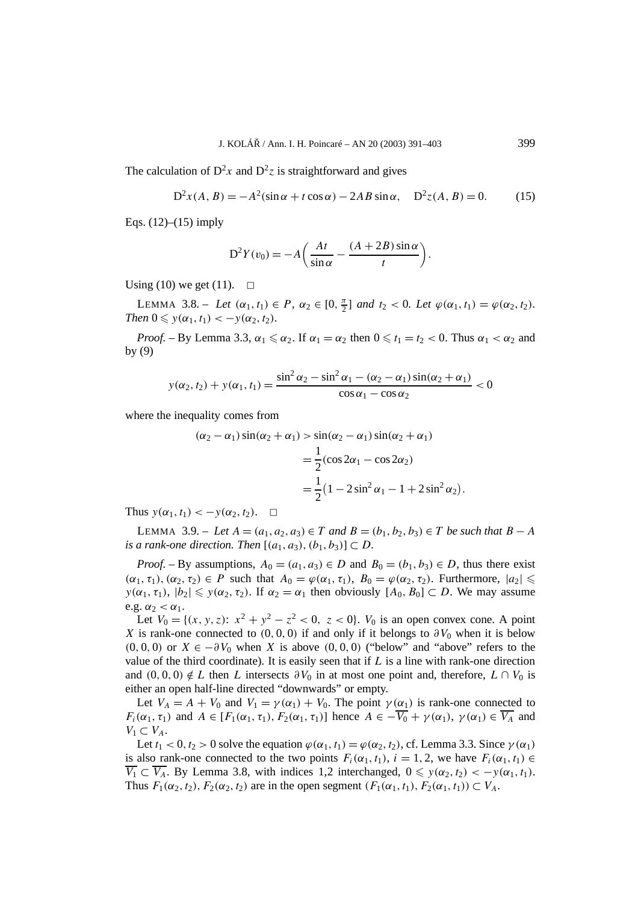The calculation of  $D^2x$  and  $D^2z$  is straightforward and gives

$$
D^{2}x(A, B) = -A^{2}(\sin \alpha + t \cos \alpha) - 2AB \sin \alpha, \quad D^{2}z(A, B) = 0.
$$
 (15)

Eqs.  $(12)–(15)$  imply

$$
D^{2}Y(v_{0}) = -A\left(\frac{At}{\sin \alpha} - \frac{(A + 2B)\sin \alpha}{t}\right).
$$

Using (10) we get (11).  $\Box$ 

LEMMA 3.8. – Let  $(\alpha_1, t_1) \in P$ ,  $\alpha_2 \in [0, \frac{\pi}{2}]$  and  $t_2 < 0$ . Let  $\varphi(\alpha_1, t_1) = \varphi(\alpha_2, t_2)$ . *Then*  $0 \leq y(\alpha_1, t_1) < -y(\alpha_2, t_2)$ *.* 

*Proof.* – By Lemma 3.3,  $\alpha_1 \le \alpha_2$ . If  $\alpha_1 = \alpha_2$  then  $0 \le t_1 = t_2 < 0$ . Thus  $\alpha_1 < \alpha_2$  and by (9)

$$
y(\alpha_2, t_2) + y(\alpha_1, t_1) = \frac{\sin^2 \alpha_2 - \sin^2 \alpha_1 - (\alpha_2 - \alpha_1) \sin(\alpha_2 + \alpha_1)}{\cos \alpha_1 - \cos \alpha_2} < 0
$$

where the inequality comes from

$$
(\alpha_2 - \alpha_1) \sin(\alpha_2 + \alpha_1) > \sin(\alpha_2 - \alpha_1) \sin(\alpha_2 + \alpha_1)
$$
  
= 
$$
\frac{1}{2} (\cos 2\alpha_1 - \cos 2\alpha_2)
$$
  
= 
$$
\frac{1}{2} (1 - 2\sin^2 \alpha_1 - 1 + 2\sin^2 \alpha_2).
$$

Thus  $y(\alpha_1, t_1) < -y(\alpha_2, t_2)$ .  $\Box$ 

*LEMMA* 3.9. − *Let*  $A = (a_1, a_2, a_3) \in T$  *and*  $B = (b_1, b_2, b_3) \in T$  *be such that*  $B - A$ *is a rank-one direction. Then*  $[(a_1, a_3), (b_1, b_3)] \subset D$ .

*Proof.* – By assumptions,  $A_0 = (a_1, a_3) \in D$  and  $B_0 = (b_1, b_3) \in D$ , thus there exist  $(\alpha_1, \tau_1), (\alpha_2, \tau_2) \in P$  such that  $A_0 = \varphi(\alpha_1, \tau_1), B_0 = \varphi(\alpha_2, \tau_2)$ . Furthermore,  $|a_2| \leq$  $y(\alpha_1, \tau_1)$ ,  $|b_2| \leq y(\alpha_2, \tau_2)$ . If  $\alpha_2 = \alpha_1$  then obviously  $[A_0, B_0] \subset D$ . We may assume e.g.  $\alpha_2 < \alpha_1$ .

Let  $V_0 = \{(x, y, z): x^2 + y^2 - z^2 < 0, z < 0\}$ .  $V_0$  is an open convex cone. A point *X* is rank-one connected to  $(0, 0, 0)$  if and only if it belongs to  $\partial V_0$  when it is below  $(0, 0, 0)$  or  $X \in -\partial V_0$  when *X* is above  $(0, 0, 0)$  ("below" and "above" refers to the value of the third coordinate). It is easily seen that if *L* is a line with rank-one direction and  $(0, 0, 0) \notin L$  then *L* intersects  $\partial V_0$  in at most one point and, therefore,  $L \cap V_0$  is either an open half-line directed "downwards" or empty.

Let  $V_A = A + V_0$  and  $V_1 = \gamma(\alpha_1) + V_0$ . The point  $\gamma(\alpha_1)$  is rank-one connected to *F<sub>i</sub>*( $\alpha_1$ ,  $\tau_1$ ) and  $A \in [F_1(\alpha_1, \tau_1), F_2(\alpha_1, \tau_1)]$  hence  $A \in -\overline{V_0} + \gamma(\alpha_1), \gamma(\alpha_1) \in \overline{V_A}$  and  $V_1 \subset V_A$ .

Let  $t_1 < 0, t_2 > 0$  solve the equation  $\varphi(\alpha_1, t_1) = \varphi(\alpha_2, t_2)$ , cf. Lemma 3.3. Since  $\gamma(\alpha_1)$ is also rank-one connected to the two points  $F_i(\alpha_1, t_1)$ ,  $i = 1, 2$ , we have  $F_i(\alpha_1, t_1) \in$  $\overline{V_1} \subset \overline{V_A}$ . By Lemma 3.8, with indices 1,2 interchanged,  $0 \leq y(\alpha_2, t_2) < -y(\alpha_1, t_1)$ . Thus  $F_1(\alpha_2, t_2)$ ,  $F_2(\alpha_2, t_2)$  are in the open segment  $(F_1(\alpha_1, t_1), F_2(\alpha_1, t_1)) \subset V_A$ .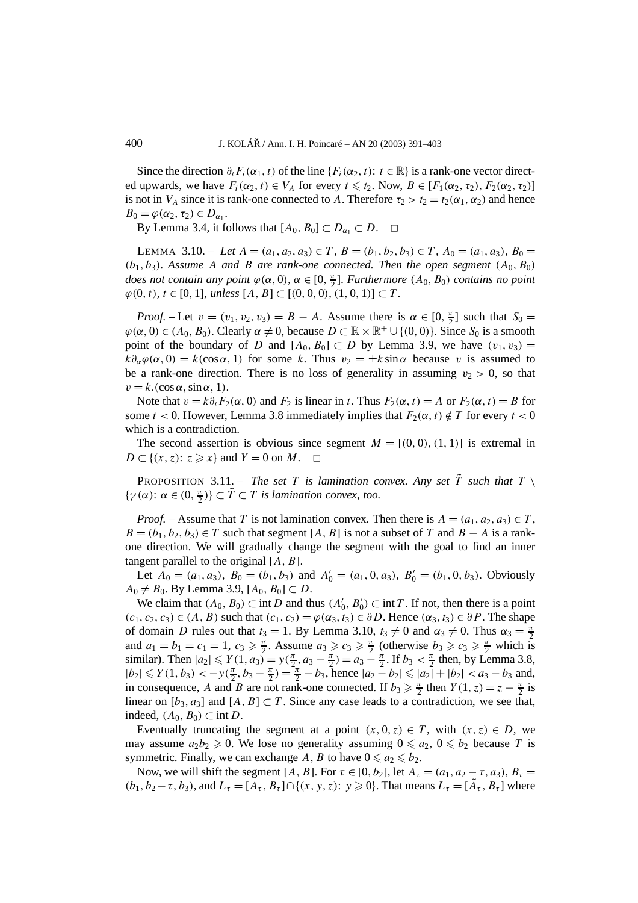Since the direction  $\partial_t F_i(\alpha_1, t)$  of the line  $\{F_i(\alpha_2, t): t \in \mathbb{R}\}\)$  is a rank-one vector directed upwards, we have  $F_i(\alpha_2, t) \in V_A$  for every  $t \leq t_2$ . Now,  $B \in [F_1(\alpha_2, \tau_2), F_2(\alpha_2, \tau_2)]$ is not in *V<sub>A</sub>* since it is rank-one connected to *A*. Therefore  $\tau_2 > t_2 = t_2(\alpha_1, \alpha_2)$  and hence  $B_0 = \varphi(\alpha_2, \tau_2) \in D_{\alpha_1}.$ 

By Lemma 3.4, it follows that  $[A_0, B_0] \subset D_{\alpha_1} \subset D$ .  $\Box$ 

LEMMA 3.10. – Let  $A = (a_1, a_2, a_3) \in T$ ,  $B = (b_1, b_2, b_3) \in T$ ,  $A_0 = (a_1, a_3)$ ,  $B_0 =$  $(b_1, b_3)$ *. Assume A and B are rank-one connected. Then the open segment*  $(A_0, B_0)$ *does not contain any point*  $\varphi(\alpha, 0)$ *,*  $\alpha \in [0, \frac{\pi}{2}]$ *. Furthermore*  $(A_0, B_0)$  *contains no point*  $\varphi$ (0*,t*)*, t* ∈ [0*,* 1]*, unless* [*A, B*] ⊂ [(0*,* 0*,* 0*),* (1*,* 0*,* 1)] ⊂ *T*.

*Proof.* – Let  $v = (v_1, v_2, v_3) = B - A$ . Assume there is  $\alpha \in [0, \frac{\pi}{2}]$  such that  $S_0 =$  $\varphi(\alpha, 0) \in (A_0, B_0)$ . Clearly  $\alpha \neq 0$ , because  $D \subset \mathbb{R} \times \mathbb{R}^+ \cup \{(0, 0)\}$ . Since  $S_0$  is a smooth point of the boundary of *D* and  $[A_0, B_0] \subset D$  by Lemma 3.9, we have  $(v_1, v_3) =$  $k\partial_{\alpha}\varphi(\alpha,0) = k(\cos\alpha,1)$  for some k. Thus  $v_2 = \pm k\sin\alpha$  because v is assumed to be a rank-one direction. There is no loss of generality in assuming  $v_2 > 0$ , so that  $v = k.(\cos \alpha, \sin \alpha, 1).$ 

Note that  $v = k \partial_t F_2(\alpha, 0)$  and  $F_2$  is linear in *t*. Thus  $F_2(\alpha, t) = A$  or  $F_2(\alpha, t) = B$  for some  $t < 0$ . However, Lemma 3.8 immediately implies that  $F_2(\alpha, t) \notin T$  for every  $t < 0$ which is a contradiction.

The second assertion is obvious since segment  $M = [(0, 0), (1, 1)]$  is extremal in  $D \subset \{(x, z): z \geq x\}$  and  $Y = 0$  on *M*.  $\Box$ 

PROPOSITION 3.11. – *The set T is lamination convex. Any set*  $\tilde{T}$  *such that*  $T \setminus$  $\{\gamma(\alpha): \alpha \in (0, \frac{\pi}{2})\} \subset \tilde{T} \subset T$  *is lamination convex, too.* 

*Proof.* – Assume that *T* is not lamination convex. Then there is  $A = (a_1, a_2, a_3) \in T$ ,  $B = (b_1, b_2, b_3) \in T$  such that segment [*A, B*] is not a subset of *T* and  $B - A$  is a rankone direction. We will gradually change the segment with the goal to find an inner tangent parallel to the original [*A,B*].

Let  $A_0 = (a_1, a_3)$ ,  $B_0 = (b_1, b_3)$  and  $A'_0 = (a_1, 0, a_3)$ ,  $B'_0 = (b_1, 0, b_3)$ . Obviously  $A_0$  ≠  $B_0$ . By Lemma 3.9, [ $A_0$ ,  $B_0$ ] ⊂ *D*.

We claim that  $(A_0, B_0) \subset \text{int } D$  and thus  $(A'_0, B'_0) \subset \text{int } T$ . If not, then there is a point  $(c_1, c_2, c_3) \in (A, B)$  such that  $(c_1, c_2) = \varphi(\alpha_3, t_3) \in \partial D$ . Hence  $(\alpha_3, t_3) \in \partial P$ . The shape of domain *D* rules out that  $t_3 = 1$ . By Lemma 3.10,  $t_3 \neq 0$  and  $\alpha_3 \neq 0$ . Thus  $\alpha_3 = \frac{\pi}{2}$ and  $a_1 = b_1 = c_1 = 1$ ,  $c_3 \ge \frac{\pi}{2}$ . Assume  $a_3 \ge c_3 \ge \frac{\pi}{2}$  (otherwise  $b_3 \ge c_3 \ge \frac{\pi}{2}$  which is similar). Then  $|a_2| \leq Y(1, a_3) = y(\frac{\pi}{2}, a_3 - \frac{\pi}{2}) = a_3 - \frac{\pi}{2}$ . If  $b_3 < \frac{\pi}{2}$  then, by Lemma 3.8,  $|b_2| \le Y(1, b_3) < -y(\frac{\pi}{2}, b_3 - \frac{\pi}{2}) = \frac{\pi}{2} - b_3$ , hence  $|a_2 - b_2| \le |a_2| + |b_2| < a_3 - b_3$  and, in consequence, *A* and *B* are not rank-one connected. If  $b_3 \ge \frac{\pi}{2}$  then  $Y(1, z) = z - \frac{\pi}{2}$  is linear on  $[b_3, a_3]$  and  $[A, B] \subset T$ . Since any case leads to a contradiction, we see that, indeed,  $(A_0, B_0) \subset \text{int } D$ .

Eventually truncating the segment at a point  $(x, 0, z) \in T$ , with  $(x, z) \in D$ , we may assume  $a_2b_2 \ge 0$ . We lose no generality assuming  $0 \le a_2$ ,  $0 \le b_2$  because *T* is symmetric. Finally, we can exchange A, B to have  $0 \le a_2 \le b_2$ .

Now, we will shift the segment  $[A, B]$ . For  $\tau \in [0, b_2]$ , let  $A_{\tau} = (a_1, a_2 - \tau, a_3)$ ,  $B_{\tau} =$  $(b_1, b_2 - \tau, b_3)$ , and  $L_\tau = [A_\tau, B_\tau] \cap \{(x, y, z): y \geq 0\}$ . That means  $L_\tau = [\tilde{A}_\tau, B_\tau]$  where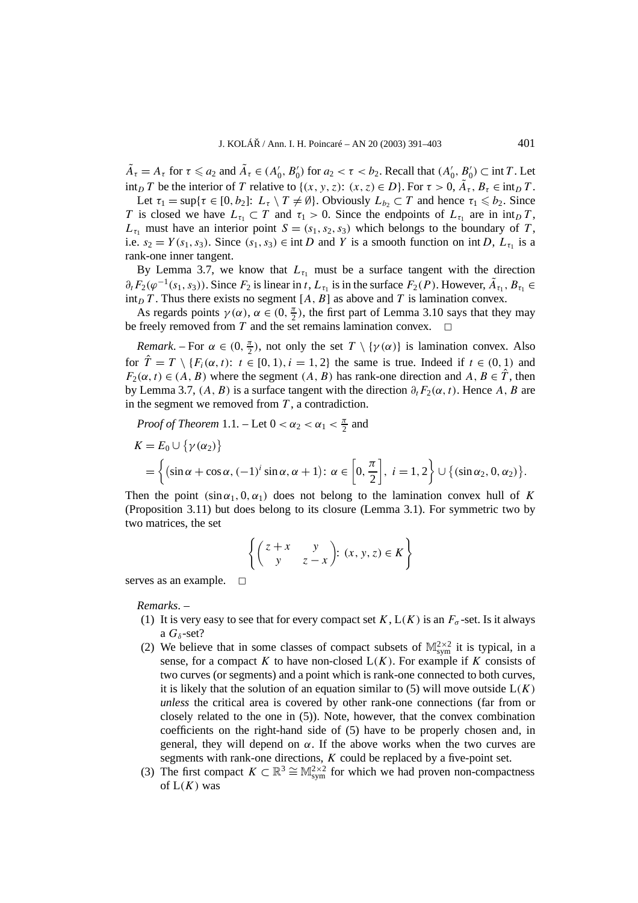$\tilde{A}_{\tau} = A_{\tau}$  for  $\tau \le a_2$  and  $\tilde{A}_{\tau} \in (A'_0, B'_0)$  for  $a_2 < \tau < b_2$ . Recall that  $(A'_0, B'_0) \subset \text{int } T$ . Let int<sub>*D*</sub> *T* be the interior of *T* relative to { $(x, y, z)$ :  $(x, z) \in D$ }. For  $\tau > 0$ ,  $\tilde{A}_{\tau}$ ,  $B_{\tau} \in \text{int}_D T$ .

Let  $\tau_1 = \sup{\tau \in [0, b_2] : L_{\tau} \setminus T \neq \emptyset}$ . Obviously  $L_{b_2} \subset T$  and hence  $\tau_1 \leq b_2$ . Since *T* is closed we have  $L_{\tau_1} \subset T$  and  $\tau_1 > 0$ . Since the endpoints of  $L_{\tau_1}$  are in  $\int T$ ,  $L_{\tau_1}$  must have an interior point  $S = (s_1, s_2, s_3)$  which belongs to the boundary of *T*, i.e.  $s_2 = Y(s_1, s_3)$ . Since  $(s_1, s_3) \in \text{int } D$  and *Y* is a smooth function on int *D*,  $L_{\tau_1}$  is a rank-one inner tangent.

By Lemma 3.7, we know that  $L_{\tau_1}$  must be a surface tangent with the direction  $\partial_t F_2(\varphi^{-1}(s_1, s_3))$ . Since  $F_2$  is linear in *t*,  $L_{\tau_1}$  is in the surface  $F_2(P)$ . However,  $\tilde{A}_{\tau_1}, B_{\tau_1} \in$ int<sub>D</sub> *T*. Thus there exists no segment [*A*, *B*] as above and *T* is lamination convex.

As regards points  $\gamma(\alpha)$ ,  $\alpha \in (0, \frac{\pi}{2})$ , the first part of Lemma 3.10 says that they may be freely removed from  $T$  and the set remains lamination convex.

*Remark*. – For  $\alpha \in (0, \frac{\pi}{2})$ , not only the set  $T \setminus \{\gamma(\alpha)\}\$ is lamination convex. Also for  $\hat{T} = T \setminus \{F_i(\alpha, t): t \in [0, 1), i = 1, 2\}$  the same is true. Indeed if  $t \in (0, 1)$  and  $F_2(\alpha, t) \in (A, B)$  where the segment  $(A, B)$  has rank-one direction and  $A, B \in \hat{T}$ , then by Lemma 3.7,  $(A, B)$  is a surface tangent with the direction  $\partial_t F_2(\alpha, t)$ . Hence A, B are in the segment we removed from *T* , a contradiction.

Proof of Theorem 1.1. – Let 
$$
0 < \alpha_2 < \alpha_1 < \frac{\pi}{2}
$$
 and  
\n
$$
K = E_0 \cup \{ \gamma(\alpha_2) \}
$$
\n
$$
= \left\{ (\sin \alpha + \cos \alpha, (-1)^i \sin \alpha, \alpha + 1) \colon \alpha \in \left[0, \frac{\pi}{2}\right], i = 1, 2 \right\} \cup \{ (\sin \alpha_2, 0, \alpha_2) \}.
$$

Then the point  $(\sin \alpha_1, 0, \alpha_1)$  does not belong to the lamination convex hull of K (Proposition 3.11) but does belong to its closure (Lemma 3.1). For symmetric two by two matrices, the set

$$
\left\{ \begin{pmatrix} z+x & y \\ y & z-x \end{pmatrix} : (x, y, z) \in K \right\}
$$

serves as an example.  $\square$ 

*Remarks*. –

- (1) It is very easy to see that for every compact set  $K$ ,  $L(K)$  is an  $F_{\sigma}$ -set. Is it always a  $G_{\delta}$ -set?
- (2) We believe that in some classes of compact subsets of  $\mathbb{M}^{2\times 2}_{sym}$  it is typical, in a sense, for a compact  $K$  to have non-closed  $L(K)$ . For example if  $K$  consists of two curves (or segments) and a point which is rank-one connected to both curves, it is likely that the solution of an equation similar to  $(5)$  will move outside  $L(K)$ *unless* the critical area is covered by other rank-one connections (far from or closely related to the one in (5)). Note, however, that the convex combination coefficients on the right-hand side of (5) have to be properly chosen and, in general, they will depend on  $\alpha$ . If the above works when the two curves are segments with rank-one directions, *K* could be replaced by a five-point set.
- (3) The first compact  $K \subset \mathbb{R}^3 \cong \mathbb{M}^{2 \times 2}_{sym}$  for which we had proven non-compactness of  $L(K)$  was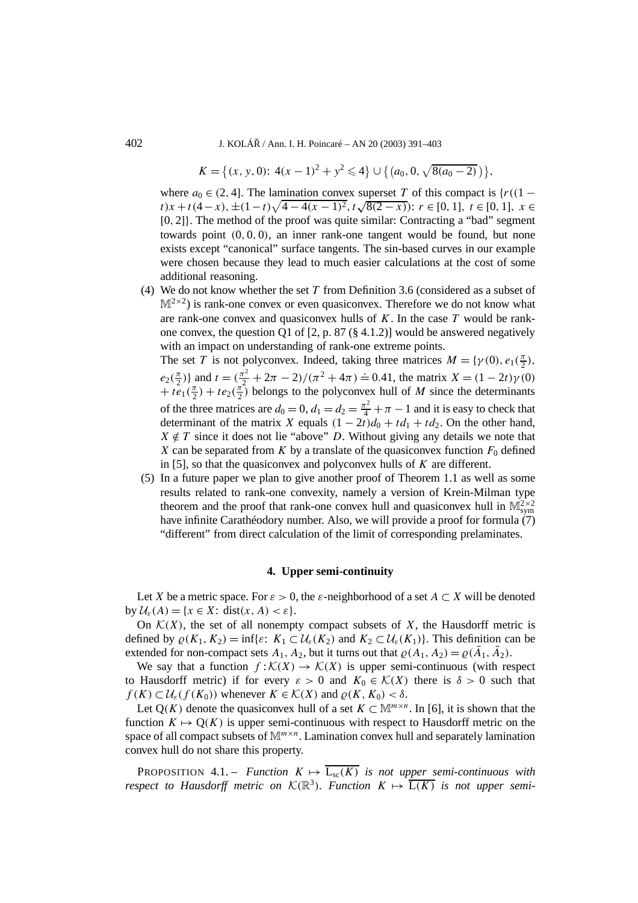402 J. KOLÁŘ / Ann. I. H. Poincaré – AN 20 (2003) 391–403

$$
K = \{(x, y, 0): 4(x - 1)^2 + y^2 \leq 4\} \cup \{(a_0, 0, \sqrt{8(a_0 - 2)})\},\
$$

where  $a_0 \in (2, 4]$ . The lamination convex superset *T* of this compact is  $\{r((1$ *t*)*x* + *t*(4−*x*), ±(1−*t*) $\sqrt{4-4(x-1)^2}$ ,  $t\sqrt{8(2-x)}$ ):  $r \in [0, 1]$ ,  $t \in [0, 1]$ ,  $x \in$ [0*,* 2]}. The method of the proof was quite similar: Contracting a "bad" segment towards point *(*0*,* 0*,* 0*)*, an inner rank-one tangent would be found, but none exists except "canonical" surface tangents. The sin-based curves in our example were chosen because they lead to much easier calculations at the cost of some additional reasoning.

(4) We do not know whether the set *T* from Definition 3.6 (considered as a subset of  $M^{2\times 2}$ ) is rank-one convex or even quasiconvex. Therefore we do not know what are rank-one convex and quasiconvex hulls of *K*. In the case *T* would be rankone convex, the question Q1 of  $[2, p. 87 (\S 4.1.2)]$  would be answered negatively with an impact on understanding of rank-one extreme points.

The set *T* is not polyconvex. Indeed, taking three matrices  $M = \{\gamma(0), e_1(\frac{\pi}{2}),\}$  $e_2(\frac{\pi}{2})$ } and  $t = (\frac{\pi^2}{2} + 2\pi - 2)/(\pi^2 + 4\pi) = 0.41$ , the matrix  $X = (1 - 2t)\gamma(0)$  $+ t e_1(\frac{\pi}{2}) + t e_2(\frac{\pi}{2})$  belongs to the polyconvex hull of *M* since the determinants of the three matrices are  $d_0 = 0$ ,  $d_1 = d_2 = \frac{\pi^2}{4} + \pi - 1$  and it is easy to check that determinant of the matrix *X* equals  $(1 - 2t)d_0 + td_1 + td_2$ . On the other hand,  $X \notin T$  since it does not lie "above" *D*. Without giving any details we note that *X* can be separated from *K* by a translate of the quasiconvex function  $F_0$  defined in [5], so that the quasiconvex and polyconvex hulls of *K* are different.

(5) In a future paper we plan to give another proof of Theorem 1.1 as well as some results related to rank-one convexity, namely a version of Krein-Milman type theorem and the proof that rank-one convex hull and quasiconvex hull in  $\mathbb{M}^{2\times 2}_{sym}$ have infinite Carathéodory number. Also, we will provide a proof for formula  $(7)$ "different" from direct calculation of the limit of corresponding prelaminates.

### **4. Upper semi-continuity**

Let *X* be a metric space. For  $\varepsilon > 0$ , the  $\varepsilon$ -neighborhood of a set  $A \subset X$  will be denoted by  $\mathcal{U}_{\varepsilon}(A) = \{x \in X: \text{dist}(x, A) < \varepsilon\}.$ 

On  $K(X)$ , the set of all nonempty compact subsets of X, the Hausdorff metric is defined by  $\rho(K_1, K_2) = \inf\{\varepsilon: K_1 \subset \mathcal{U}_{\varepsilon}(K_2) \text{ and } K_2 \subset \mathcal{U}_{\varepsilon}(K_1)\}\)$ . This definition can be extended for non-compact sets  $A_1$ ,  $A_2$ , but it turns out that  $\varrho(A_1, A_2) = \varrho(\bar{A}_1, \bar{A}_2)$ .

We say that a function  $f: \mathcal{K}(X) \to \mathcal{K}(X)$  is upper semi-continuous (with respect to Hausdorff metric) if for every  $\varepsilon > 0$  and  $K_0 \in \mathcal{K}(X)$  there is  $\delta > 0$  such that  $f(K) \subset \mathcal{U}_{\varepsilon}(f(K_0))$  whenever  $K \in \mathcal{K}(X)$  and  $\rho(K, K_0) < \delta$ .

Let  $Q(K)$  denote the quasiconvex hull of a set  $K \subset \mathbb{M}^{m \times n}$ . In [6], it is shown that the function  $K \mapsto Q(K)$  is upper semi-continuous with respect to Hausdorff metric on the space of all compact subsets of  $M^{m \times n}$ . Lamination convex hull and separately lamination convex hull do not share this property.

**PROPOSITION** 4.1. – *Function*  $K \mapsto \overline{L_{sc}(K)}$  *is not upper semi-continuous with respect to Hausdorff metric on*  $K(\mathbb{R}^3)$ *. Function*  $K \mapsto \overline{L(K)}$  *is not upper semi-*